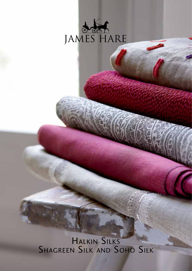

**HALKIN SILK** Shagreen Silk and Soho Silk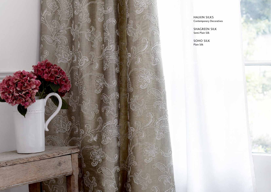

Halkin Silks Contemporary Decoratives

Semi-Plain Silk

Soho silk Plain Silk

SHAGREEN SILK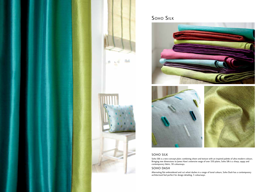## Soho SILK

Soho Silk is a new-concept plain; combining sheen and texture with an inspired palette of ultra-modern colours. Bringing new dimensions to James Hare's extensive range of over 550 plains, Soho Silk is a sharp, zappy and contemporary fabric, 30 colourways.

### Soho Dash

Alternating flat embroidered and cut velvet dashes in a range of tonal colours, Soho Dash has a contemporary architectural feel perfect for design detailing, 3 colourways.



## Soho Silk



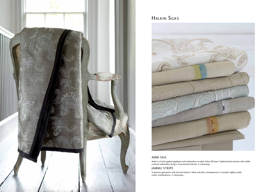#### Ambi Silk

Ambi is a hand-applied appliqué cord embroidery on plain Soho Silk base. Sophisticated neutrals with subtle contrast embroidery bring a crisp textural interest, 4 colourways.

#### Jammu Stripe

A spacious geometric with textural interest. Sleek and ultra-contemporary in versatile, highly usable colour combinations, 5 colourways.



# Halkin Silks

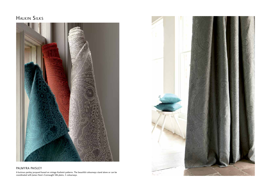#### Palmyra Paisley

A lustrous paisley jacquard based on vintage Kashmiri patterns. The beautiful colourways stand alone or can be coordinated with James Hare's Connaught Silk plains, 5 colourways.





# Halkin Silks

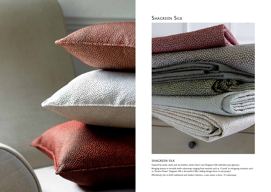

# SHAGREEN SILK



### SHAGREEN silk

Inspired by exotic shark and ray leathers, James Hare's new Shagreen Silk embodies pure glamour. Bringing texture in versatile multi-colourways ranging from neutrals such as 'Crystal' to intriguing contrasts such as 'Passion Flower', Shagreen Silk is the perfect filler, adding design focus to any project. Effortlessly chic in both traditional and modern interiors, a new classic is born, 14 colourways.